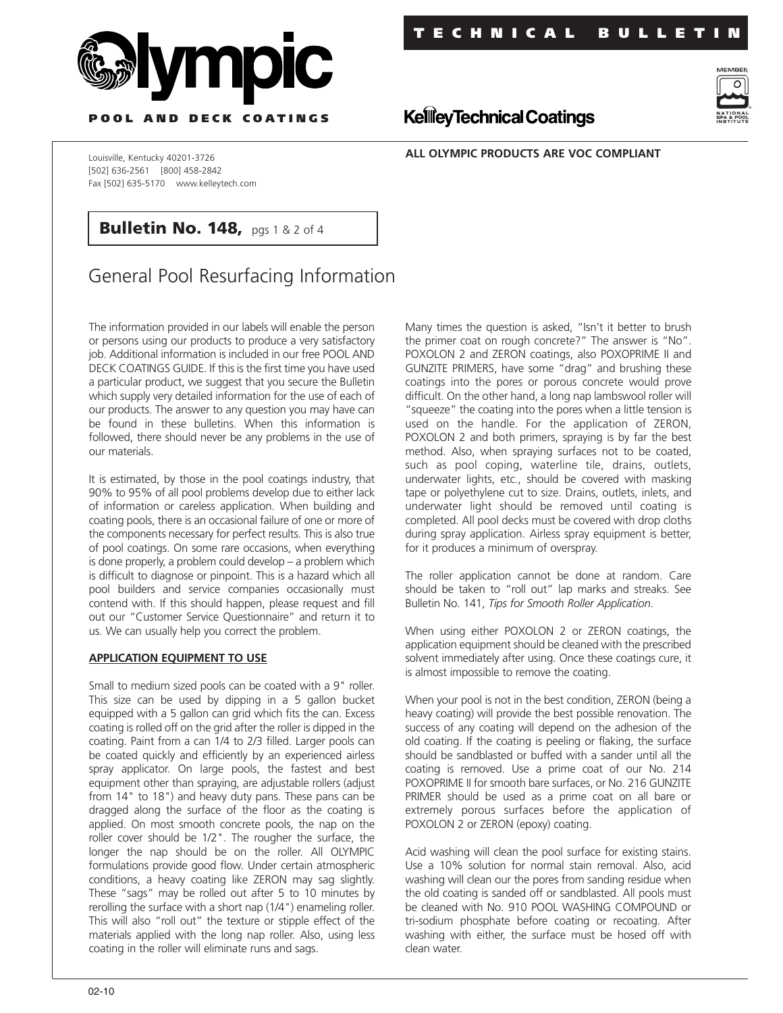

**CHNICAL BULLET** 



**P OOL AND DECK COATINGS**

**ALL OLYMPIC PRODUCTS ARE VOC COMPLIANT**

**KellieyTechnical Coatings** 

Louisville, Kentucky 40201-3726 [502] 636-2561 [800] 458-2842 Fax [502] 635-5170 www.kelleytech.com

# **Bulletin No. 148, pgs 1 & 2 of 4**

# General Pool Resurfacing Information

The information provided in our labels will enable the person or persons using our products to produce a very satisfactory job. Additional information is included in our free POOL AND DECK COATINGS GUIDE. If this is the first time you have used a particular product, we suggest that you secure the Bulletin which supply very detailed information for the use of each of our products. The answer to any question you may have can be found in these bulletins. When this information is followed, there should never be any problems in the use of our materials.

It is estimated, by those in the pool coatings industry, that 90% to 95% of all pool problems develop due to either lack of information or careless application. When building and coating pools, there is an occasional failure of one or more of the components necessary for perfect results. This is also true of pool coatings. On some rare occasions, when everything is done properly, a problem could develop – a problem which is difficult to diagnose or pinpoint. This is a hazard which all pool builders and service companies occasionally must contend with. If this should happen, please request and fill out our "Customer Service Questionnaire" and return it to us. We can usually help you correct the problem.

### **APPLICATION EQUIPMENT TO USE**

Small to medium sized pools can be coated with a 9" roller. This size can be used by dipping in a 5 gallon bucket equipped with a 5 gallon can grid which fits the can. Excess coating is rolled off on the grid after the roller is dipped in the coating. Paint from a can 1/4 to 2/3 filled. Larger pools can be coated quickly and efficiently by an experienced airless spray applicator. On large pools, the fastest and best equipment other than spraying, are adjustable rollers (adjust from 14" to 18") and heavy duty pans. These pans can be dragged along the surface of the floor as the coating is applied. On most smooth concrete pools, the nap on the roller cover should be 1/2". The rougher the surface, the longer the nap should be on the roller. All OLYMPIC formulations provide good flow. Under certain atmospheric conditions, a heavy coating like ZERON may sag slightly. These "sags" may be rolled out after 5 to 10 minutes by rerolling the surface with a short nap (1/4") enameling roller. This will also "roll out" the texture or stipple effect of the materials applied with the long nap roller. Also, using less coating in the roller will eliminate runs and sags.

Many times the question is asked, "Isn't it better to brush the primer coat on rough concrete?" The answer is "No". POXOLON 2 and ZERON coatings, also POXOPRIME II and GUNZITE PRIMERS, have some "drag" and brushing these coatings into the pores or porous concrete would prove difficult. On the other hand, a long nap lambswool roller will "squeeze" the coating into the pores when a little tension is used on the handle. For the application of ZERON, POXOLON 2 and both primers, spraying is by far the best method. Also, when spraying surfaces not to be coated, such as pool coping, waterline tile, drains, outlets, underwater lights, etc., should be covered with masking tape or polyethylene cut to size. Drains, outlets, inlets, and underwater light should be removed until coating is completed. All pool decks must be covered with drop cloths during spray application. Airless spray equipment is better, for it produces a minimum of overspray.

The roller application cannot be done at random. Care should be taken to "roll out" lap marks and streaks. See Bulletin No. 141, *Tips for Smooth Roller Application*.

When using either POXOLON 2 or ZERON coatings, the application equipment should be cleaned with the prescribed solvent immediately after using. Once these coatings cure, it is almost impossible to remove the coating.

When your pool is not in the best condition, ZERON (being a heavy coating) will provide the best possible renovation. The success of any coating will depend on the adhesion of the old coating. If the coating is peeling or flaking, the surface should be sandblasted or buffed with a sander until all the coating is removed. Use a prime coat of our No. 214 POXOPRIME II for smooth bare surfaces, or No. 216 GUNZITE PRIMER should be used as a prime coat on all bare or extremely porous surfaces before the application of POXOLON 2 or ZERON (epoxy) coating.

Acid washing will clean the pool surface for existing stains. Use a 10% solution for normal stain removal. Also, acid washing will clean our the pores from sanding residue when the old coating is sanded off or sandblasted. All pools must be cleaned with No. 910 POOL WASHING COMPOUND or tri-sodium phosphate before coating or recoating. After washing with either, the surface must be hosed off with clean water.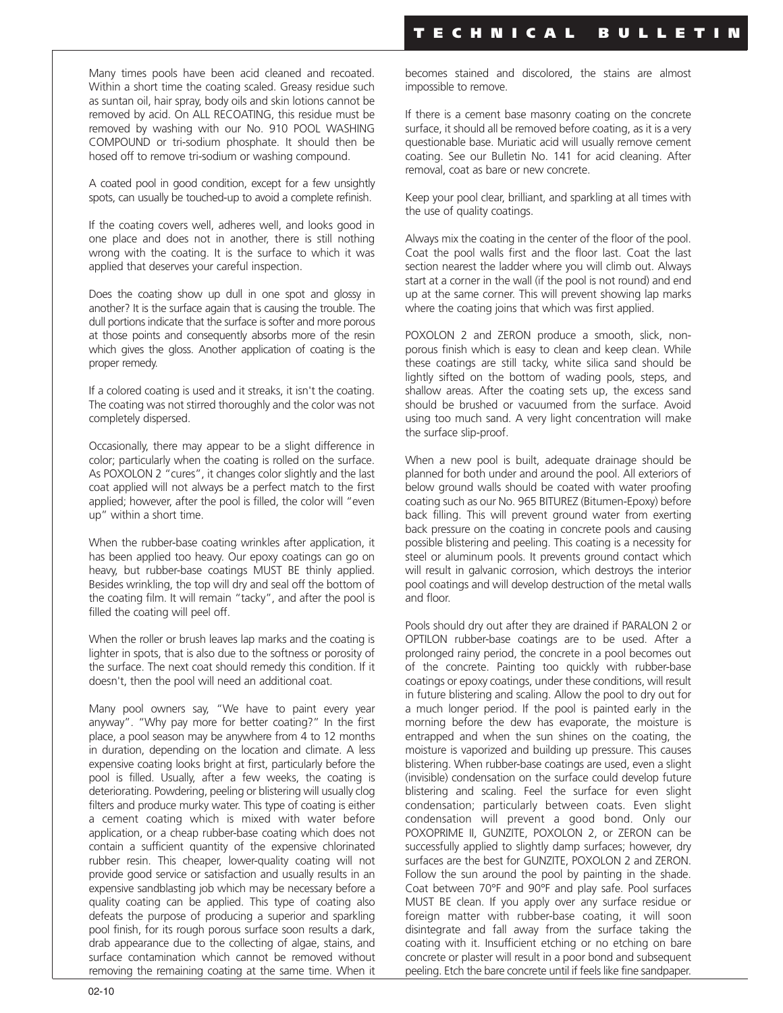Many times pools have been acid cleaned and recoated. Within a short time the coating scaled. Greasy residue such as suntan oil, hair spray, body oils and skin lotions cannot be removed by acid. On ALL RECOATING, this residue must be removed by washing with our No. 910 POOL WASHING COMPOUND or tri-sodium phosphate. It should then be hosed off to remove tri-sodium or washing compound.

A coated pool in good condition, except for a few unsightly spots, can usually be touched-up to avoid a complete refinish.

If the coating covers well, adheres well, and looks good in one place and does not in another, there is still nothing wrong with the coating. It is the surface to which it was applied that deserves your careful inspection.

Does the coating show up dull in one spot and glossy in another? It is the surface again that is causing the trouble. The dull portions indicate that the surface is softer and more porous at those points and consequently absorbs more of the resin which gives the gloss. Another application of coating is the proper remedy.

If a colored coating is used and it streaks, it isn't the coating. The coating was not stirred thoroughly and the color was not completely dispersed.

Occasionally, there may appear to be a slight difference in color; particularly when the coating is rolled on the surface. As POXOLON 2 "cures", it changes color slightly and the last coat applied will not always be a perfect match to the first applied; however, after the pool is filled, the color will "even up" within a short time.

When the rubber-base coating wrinkles after application, it has been applied too heavy. Our epoxy coatings can go on heavy, but rubber-base coatings MUST BE thinly applied. Besides wrinkling, the top will dry and seal off the bottom of the coating film. It will remain "tacky", and after the pool is filled the coating will peel off.

When the roller or brush leaves lap marks and the coating is lighter in spots, that is also due to the softness or porosity of the surface. The next coat should remedy this condition. If it doesn't, then the pool will need an additional coat.

Many pool owners say, "We have to paint every year anyway". "Why pay more for better coating?" In the first place, a pool season may be anywhere from 4 to 12 months in duration, depending on the location and climate. A less expensive coating looks bright at first, particularly before the pool is filled. Usually, after a few weeks, the coating is deteriorating. Powdering, peeling or blistering will usually clog filters and produce murky water. This type of coating is either a cement coating which is mixed with water before application, or a cheap rubber-base coating which does not contain a sufficient quantity of the expensive chlorinated rubber resin. This cheaper, lower-quality coating will not provide good service or satisfaction and usually results in an expensive sandblasting job which may be necessary before a quality coating can be applied. This type of coating also defeats the purpose of producing a superior and sparkling pool finish, for its rough porous surface soon results a dark, drab appearance due to the collecting of algae, stains, and surface contamination which cannot be removed without removing the remaining coating at the same time. When it

becomes stained and discolored, the stains are almost impossible to remove.

If there is a cement base masonry coating on the concrete surface, it should all be removed before coating, as it is a very questionable base. Muriatic acid will usually remove cement coating. See our Bulletin No. 141 for acid cleaning. After removal, coat as bare or new concrete.

Keep your pool clear, brilliant, and sparkling at all times with the use of quality coatings.

Always mix the coating in the center of the floor of the pool. Coat the pool walls first and the floor last. Coat the last section nearest the ladder where you will climb out. Always start at a corner in the wall (if the pool is not round) and end up at the same corner. This will prevent showing lap marks where the coating joins that which was first applied.

POXOLON 2 and ZERON produce a smooth, slick, nonporous finish which is easy to clean and keep clean. While these coatings are still tacky, white silica sand should be lightly sifted on the bottom of wading pools, steps, and shallow areas. After the coating sets up, the excess sand should be brushed or vacuumed from the surface. Avoid using too much sand. A very light concentration will make the surface slip-proof.

When a new pool is built, adequate drainage should be planned for both under and around the pool. All exteriors of below ground walls should be coated with water proofing coating such as our No. 965 BITUREZ (Bitumen-Epoxy) before back filling. This will prevent ground water from exerting back pressure on the coating in concrete pools and causing possible blistering and peeling. This coating is a necessity for steel or aluminum pools. It prevents ground contact which will result in galvanic corrosion, which destroys the interior pool coatings and will develop destruction of the metal walls and floor.

Pools should dry out after they are drained if PARALON 2 or OPTILON rubber-base coatings are to be used. After a prolonged rainy period, the concrete in a pool becomes out of the concrete. Painting too quickly with rubber-base coatings or epoxy coatings, under these conditions, will result in future blistering and scaling. Allow the pool to dry out for a much longer period. If the pool is painted early in the morning before the dew has evaporate, the moisture is entrapped and when the sun shines on the coating, the moisture is vaporized and building up pressure. This causes blistering. When rubber-base coatings are used, even a slight (invisible) condensation on the surface could develop future blistering and scaling. Feel the surface for even slight condensation; particularly between coats. Even slight condensation will prevent a good bond. Only our POXOPRIME II, GUNZITE, POXOLON 2, or ZERON can be successfully applied to slightly damp surfaces; however, dry surfaces are the best for GUNZITE, POXOLON 2 and ZERON. Follow the sun around the pool by painting in the shade. Coat between 70°F and 90°F and play safe. Pool surfaces MUST BE clean. If you apply over any surface residue or foreign matter with rubber-base coating, it will soon disintegrate and fall away from the surface taking the coating with it. Insufficient etching or no etching on bare concrete or plaster will result in a poor bond and subsequent peeling. Etch the bare concrete until if feels like fine sandpaper.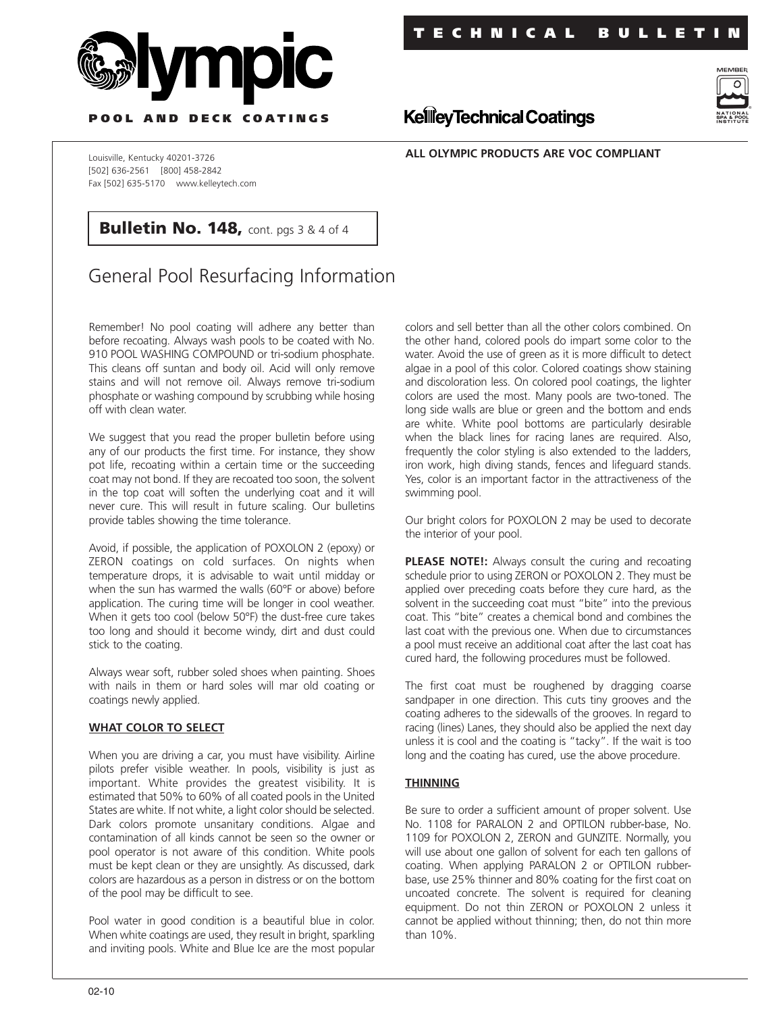

**CHNICAL BULLET** 



**P OOL AND DECK COATINGS**

**ALL OLYMPIC PRODUCTS ARE VOC COMPLIANT**

**KellieyTechnical Coatings** 

Louisville, Kentucky 40201-3726 [502] 636-2561 [800] 458-2842 Fax [502] 635-5170 www.kelleytech.com

## **Bulletin No. 148, cont. pgs 3 & 4 of 4**

# General Pool Resurfacing Information

Remember! No pool coating will adhere any better than before recoating. Always wash pools to be coated with No. 910 POOL WASHING COMPOUND or tri-sodium phosphate. This cleans off suntan and body oil. Acid will only remove stains and will not remove oil. Always remove tri-sodium phosphate or washing compound by scrubbing while hosing off with clean water.

We suggest that you read the proper bulletin before using any of our products the first time. For instance, they show pot life, recoating within a certain time or the succeeding coat may not bond. If they are recoated too soon, the solvent in the top coat will soften the underlying coat and it will never cure. This will result in future scaling. Our bulletins provide tables showing the time tolerance.

Avoid, if possible, the application of POXOLON 2 (epoxy) or ZERON coatings on cold surfaces. On nights when temperature drops, it is advisable to wait until midday or when the sun has warmed the walls (60°F or above) before application. The curing time will be longer in cool weather. When it gets too cool (below 50°F) the dust-free cure takes too long and should it become windy, dirt and dust could stick to the coating.

Always wear soft, rubber soled shoes when painting. Shoes with nails in them or hard soles will mar old coating or coatings newly applied.

#### **WHAT COLOR TO SELECT**

When you are driving a car, you must have visibility. Airline pilots prefer visible weather. In pools, visibility is just as important. White provides the greatest visibility. It is estimated that 50% to 60% of all coated pools in the United States are white. If not white, a light color should be selected. Dark colors promote unsanitary conditions. Algae and contamination of all kinds cannot be seen so the owner or pool operator is not aware of this condition. White pools must be kept clean or they are unsightly. As discussed, dark colors are hazardous as a person in distress or on the bottom of the pool may be difficult to see.

Pool water in good condition is a beautiful blue in color. When white coatings are used, they result in bright, sparkling and inviting pools. White and Blue Ice are the most popular

colors and sell better than all the other colors combined. On the other hand, colored pools do impart some color to the water. Avoid the use of green as it is more difficult to detect algae in a pool of this color. Colored coatings show staining and discoloration less. On colored pool coatings, the lighter colors are used the most. Many pools are two-toned. The long side walls are blue or green and the bottom and ends are white. White pool bottoms are particularly desirable when the black lines for racing lanes are required. Also, frequently the color styling is also extended to the ladders, iron work, high diving stands, fences and lifeguard stands. Yes, color is an important factor in the attractiveness of the swimming pool.

Our bright colors for POXOLON 2 may be used to decorate the interior of your pool.

PLEASE NOTE!: Always consult the curing and recoating schedule prior to using ZERON or POXOLON 2. They must be applied over preceding coats before they cure hard, as the solvent in the succeeding coat must "bite" into the previous coat. This "bite" creates a chemical bond and combines the last coat with the previous one. When due to circumstances a pool must receive an additional coat after the last coat has cured hard, the following procedures must be followed.

The first coat must be roughened by dragging coarse sandpaper in one direction. This cuts tiny grooves and the coating adheres to the sidewalls of the grooves. In regard to racing (lines) Lanes, they should also be applied the next day unless it is cool and the coating is "tacky". If the wait is too long and the coating has cured, use the above procedure.

### **THINNING**

Be sure to order a sufficient amount of proper solvent. Use No. 1108 for PARALON 2 and OPTILON rubber-base, No. 1109 for POXOLON 2, ZERON and GUNZITE. Normally, you will use about one gallon of solvent for each ten gallons of coating. When applying PARALON 2 or OPTILON rubberbase, use 25% thinner and 80% coating for the first coat on uncoated concrete. The solvent is required for cleaning equipment. Do not thin ZERON or POXOLON 2 unless it cannot be applied without thinning; then, do not thin more than 10%.